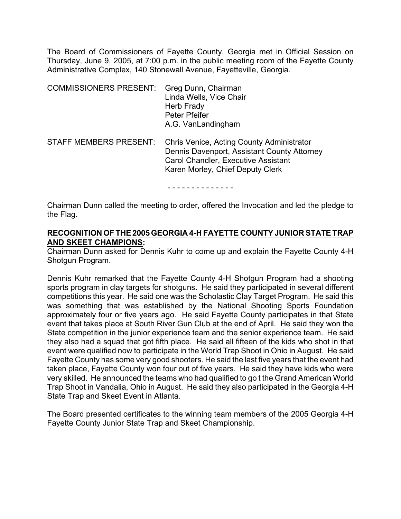The Board of Commissioners of Fayette County, Georgia met in Official Session on Thursday, June 9, 2005, at 7:00 p.m. in the public meeting room of the Fayette County Administrative Complex, 140 Stonewall Avenue, Fayetteville, Georgia.

| <b>COMMISSIONERS PRESENT:</b> | Greg Dunn, Chairman<br>Linda Wells, Vice Chair<br>Herb Frady<br>Peter Pfeifer<br>A.G. VanLandingham                                                                        |
|-------------------------------|----------------------------------------------------------------------------------------------------------------------------------------------------------------------------|
| <b>STAFF MEMBERS PRESENT:</b> | Chris Venice, Acting County Administrator<br>Dennis Davenport, Assistant County Attorney<br><b>Carol Chandler, Executive Assistant</b><br>Karen Morley, Chief Deputy Clerk |

- - - - - - - - - - - - - -

Chairman Dunn called the meeting to order, offered the Invocation and led the pledge to the Flag.

#### **RECOGNITION OF THE 2005 GEORGIA 4-H FAYETTE COUNTY JUNIOR STATE TRAP AND SKEET CHAMPIONS:**

Chairman Dunn asked for Dennis Kuhr to come up and explain the Fayette County 4-H Shotgun Program.

Dennis Kuhr remarked that the Fayette County 4-H Shotgun Program had a shooting sports program in clay targets for shotguns. He said they participated in several different competitions this year. He said one was the Scholastic Clay Target Program. He said this was something that was established by the National Shooting Sports Foundation approximately four or five years ago. He said Fayette County participates in that State event that takes place at South River Gun Club at the end of April. He said they won the State competition in the junior experience team and the senior experience team. He said they also had a squad that got fifth place. He said all fifteen of the kids who shot in that event were qualified now to participate in the World Trap Shoot in Ohio in August. He said Fayette County has some very good shooters. He said the last five years that the event had taken place, Fayette County won four out of five years. He said they have kids who were very skilled. He announced the teams who had qualified to go t the Grand American World Trap Shoot in Vandalia, Ohio in August. He said they also participated in the Georgia 4-H State Trap and Skeet Event in Atlanta.

The Board presented certificates to the winning team members of the 2005 Georgia 4-H Fayette County Junior State Trap and Skeet Championship.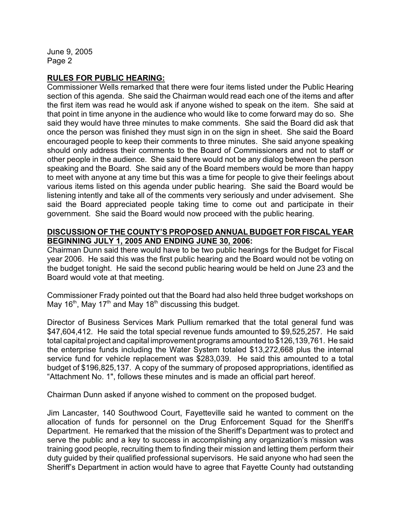#### **RULES FOR PUBLIC HEARING:**

Commissioner Wells remarked that there were four items listed under the Public Hearing section of this agenda. She said the Chairman would read each one of the items and after the first item was read he would ask if anyone wished to speak on the item. She said at that point in time anyone in the audience who would like to come forward may do so. She said they would have three minutes to make comments. She said the Board did ask that once the person was finished they must sign in on the sign in sheet. She said the Board encouraged people to keep their comments to three minutes. She said anyone speaking should only address their comments to the Board of Commissioners and not to staff or other people in the audience. She said there would not be any dialog between the person speaking and the Board. She said any of the Board members would be more than happy to meet with anyone at any time but this was a time for people to give their feelings about various items listed on this agenda under public hearing. She said the Board would be listening intently and take all of the comments very seriously and under advisement. She said the Board appreciated people taking time to come out and participate in their government. She said the Board would now proceed with the public hearing.

## **DISCUSSION OF THE COUNTY'S PROPOSED ANNUAL BUDGET FOR FISCAL YEAR BEGINNING JULY 1, 2005 AND ENDING JUNE 30, 2006:**

Chairman Dunn said there would have to be two public hearings for the Budget for Fiscal year 2006. He said this was the first public hearing and the Board would not be voting on the budget tonight. He said the second public hearing would be held on June 23 and the Board would vote at that meeting.

Commissioner Frady pointed out that the Board had also held three budget workshops on May 16<sup>th</sup>, May 17<sup>th</sup> and May 18<sup>th</sup> discussing this budget.

Director of Business Services Mark Pullium remarked that the total general fund was \$47,604,412. He said the total special revenue funds amounted to \$9,525,257. He said total capital project and capital improvement programs amounted to \$126,139,761. He said the enterprise funds including the Water System totaled \$13,272,668 plus the internal service fund for vehicle replacement was \$283,039. He said this amounted to a total budget of \$196,825,137. A copy of the summary of proposed appropriations, identified as "Attachment No. 1", follows these minutes and is made an official part hereof.

Chairman Dunn asked if anyone wished to comment on the proposed budget.

Jim Lancaster, 140 Southwood Court, Fayetteville said he wanted to comment on the allocation of funds for personnel on the Drug Enforcement Squad for the Sheriff's Department. He remarked that the mission of the Sheriff's Department was to protect and serve the public and a key to success in accomplishing any organization's mission was training good people, recruiting them to finding their mission and letting them perform their duty guided by their qualified professional supervisors. He said anyone who had seen the Sheriff's Department in action would have to agree that Fayette County had outstanding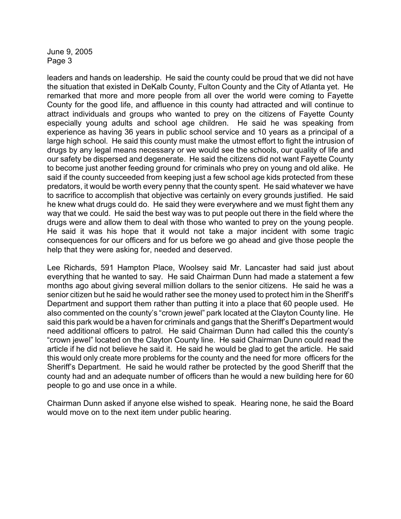leaders and hands on leadership. He said the county could be proud that we did not have the situation that existed in DeKalb County, Fulton County and the City of Atlanta yet. He remarked that more and more people from all over the world were coming to Fayette County for the good life, and affluence in this county had attracted and will continue to attract individuals and groups who wanted to prey on the citizens of Fayette County especially young adults and school age children. He said he was speaking from experience as having 36 years in public school service and 10 years as a principal of a large high school. He said this county must make the utmost effort to fight the intrusion of drugs by any legal means necessary or we would see the schools, our quality of life and our safety be dispersed and degenerate. He said the citizens did not want Fayette County to become just another feeding ground for criminals who prey on young and old alike. He said if the county succeeded from keeping just a few school age kids protected from these predators, it would be worth every penny that the county spent. He said whatever we have to sacrifice to accomplish that objective was certainly on every grounds justified. He said he knew what drugs could do. He said they were everywhere and we must fight them any way that we could. He said the best way was to put people out there in the field where the drugs were and allow them to deal with those who wanted to prey on the young people. He said it was his hope that it would not take a major incident with some tragic consequences for our officers and for us before we go ahead and give those people the help that they were asking for, needed and deserved.

Lee Richards, 591 Hampton Place, Woolsey said Mr. Lancaster had said just about everything that he wanted to say. He said Chairman Dunn had made a statement a few months ago about giving several million dollars to the senior citizens. He said he was a senior citizen but he said he would rather see the money used to protect him in the Sheriff's Department and support them rather than putting it into a place that 60 people used. He also commented on the county's "crown jewel" park located at the Clayton County line. He said this park would be a haven for criminals and gangs that the Sheriff's Department would need additional officers to patrol. He said Chairman Dunn had called this the county's "crown jewel" located on the Clayton County line. He said Chairman Dunn could read the article if he did not believe he said it. He said he would be glad to get the article. He said this would only create more problems for the county and the need for more officers for the Sheriff's Department. He said he would rather be protected by the good Sheriff that the county had and an adequate number of officers than he would a new building here for 60 people to go and use once in a while.

Chairman Dunn asked if anyone else wished to speak. Hearing none, he said the Board would move on to the next item under public hearing.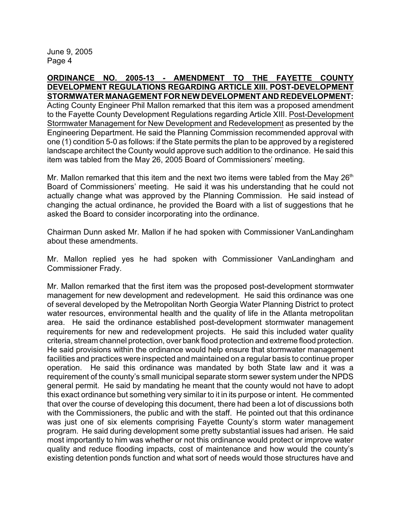**ORDINANCE NO. 2005-13 - AMENDMENT TO THE FAYETTE COUNTY DEVELOPMENT REGULATIONS REGARDING ARTICLE XIII. POST-DEVELOPMENT STORMWATER MANAGEMENT FOR NEW DEVELOPMENT AND REDEVELOPMENT:** Acting County Engineer Phil Mallon remarked that this item was a proposed amendment to the Fayette County Development Regulations regarding Article XIII. Post-Development Stormwater Management for New Development and Redevelopment as presented by the Engineering Department. He said the Planning Commission recommended approval with one (1) condition 5-0 as follows: if the State permits the plan to be approved by a registered landscape architect the County would approve such addition to the ordinance. He said this item was tabled from the May 26, 2005 Board of Commissioners' meeting.

Mr. Mallon remarked that this item and the next two items were tabled from the May 26<sup>th</sup> Board of Commissioners' meeting. He said it was his understanding that he could not actually change what was approved by the Planning Commission. He said instead of changing the actual ordinance, he provided the Board with a list of suggestions that he asked the Board to consider incorporating into the ordinance.

Chairman Dunn asked Mr. Mallon if he had spoken with Commissioner VanLandingham about these amendments.

Mr. Mallon replied yes he had spoken with Commissioner VanLandingham and Commissioner Frady.

Mr. Mallon remarked that the first item was the proposed post-development stormwater management for new development and redevelopment. He said this ordinance was one of several developed by the Metropolitan North Georgia Water Planning District to protect water resources, environmental health and the quality of life in the Atlanta metropolitan area. He said the ordinance established post-development stormwater management requirements for new and redevelopment projects. He said this included water quality criteria, stream channel protection, over bank flood protection and extreme flood protection. He said provisions within the ordinance would help ensure that stormwater management facilities and practices were inspected and maintained on a regular basis to continue proper operation. He said this ordinance was mandated by both State law and it was a requirement of the county's small municipal separate storm sewer system under the NPDS general permit. He said by mandating he meant that the county would not have to adopt this exact ordinance but something very similar to it in its purpose or intent. He commented that over the course of developing this document, there had been a lot of discussions both with the Commissioners, the public and with the staff. He pointed out that this ordinance was just one of six elements comprising Fayette County's storm water management program. He said during development some pretty substantial issues had arisen. He said most importantly to him was whether or not this ordinance would protect or improve water quality and reduce flooding impacts, cost of maintenance and how would the county's existing detention ponds function and what sort of needs would those structures have and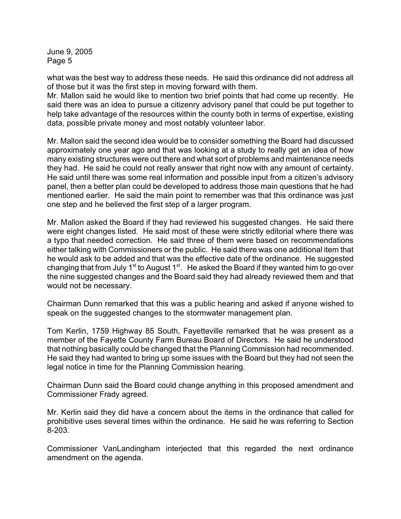what was the best way to address these needs. He said this ordinance did not address all of those but it was the first step in moving forward with them.

Mr. Mallon said he would like to mention two brief points that had come up recently. He said there was an idea to pursue a citizenry advisory panel that could be put together to help take advantage of the resources within the county both in terms of expertise, existing data, possible private money and most notably volunteer labor.

Mr. Mallon said the second idea would be to consider something the Board had discussed approximately one year ago and that was looking at a study to really get an idea of how many existing structures were out there and what sort of problems and maintenance needs they had. He said he could not really answer that right now with any amount of certainty. He said until there was some real information and possible input from a citizen's advisory panel, then a better plan could be developed to address those main questions that he had mentioned earlier. He said the main point to remember was that this ordinance was just one step and he believed the first step of a larger program.

Mr. Mallon asked the Board if they had reviewed his suggested changes. He said there were eight changes listed. He said most of these were strictly editorial where there was a typo that needed correction. He said three of them were based on recommendations either talking with Commissioners or the public. He said there was one additional item that he would ask to be added and that was the effective date of the ordinance. He suggested changing that from July 1<sup>st</sup> to August 1<sup>st</sup>. He asked the Board if they wanted him to go over the nine suggested changes and the Board said they had already reviewed them and that would not be necessary.

Chairman Dunn remarked that this was a public hearing and asked if anyone wished to speak on the suggested changes to the stormwater management plan.

Tom Kerlin, 1759 Highway 85 South, Fayetteville remarked that he was present as a member of the Fayette County Farm Bureau Board of Directors. He said he understood that nothing basically could be changed that the Planning Commission had recommended. He said they had wanted to bring up some issues with the Board but they had not seen the legal notice in time for the Planning Commission hearing.

Chairman Dunn said the Board could change anything in this proposed amendment and Commissioner Frady agreed.

Mr. Kerlin said they did have a concern about the items in the ordinance that called for prohibitive uses several times within the ordinance. He said he was referring to Section 8-203.

Commissioner VanLandingham interjected that this regarded the next ordinance amendment on the agenda.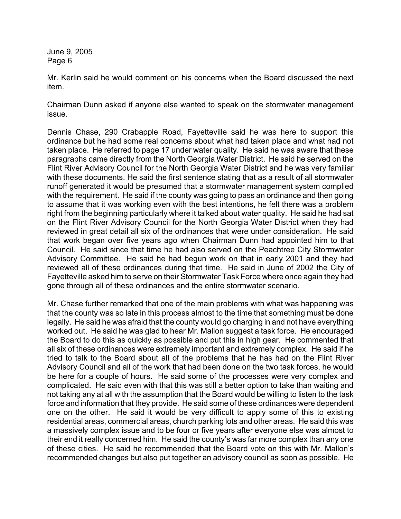Mr. Kerlin said he would comment on his concerns when the Board discussed the next item.

Chairman Dunn asked if anyone else wanted to speak on the stormwater management issue.

Dennis Chase, 290 Crabapple Road, Fayetteville said he was here to support this ordinance but he had some real concerns about what had taken place and what had not taken place. He referred to page 17 under water quality. He said he was aware that these paragraphs came directly from the North Georgia Water District. He said he served on the Flint River Advisory Council for the North Georgia Water District and he was very familiar with these documents. He said the first sentence stating that as a result of all stormwater runoff generated it would be presumed that a stormwater management system complied with the requirement. He said if the county was going to pass an ordinance and then going to assume that it was working even with the best intentions, he felt there was a problem right from the beginning particularly where it talked about water quality. He said he had sat on the Flint River Advisory Council for the North Georgia Water District when they had reviewed in great detail all six of the ordinances that were under consideration. He said that work began over five years ago when Chairman Dunn had appointed him to that Council. He said since that time he had also served on the Peachtree City Stormwater Advisory Committee. He said he had begun work on that in early 2001 and they had reviewed all of these ordinances during that time. He said in June of 2002 the City of Fayetteville asked him to serve on their Stormwater Task Force where once again they had gone through all of these ordinances and the entire stormwater scenario.

Mr. Chase further remarked that one of the main problems with what was happening was that the county was so late in this process almost to the time that something must be done legally. He said he was afraid that the county would go charging in and not have everything worked out. He said he was glad to hear Mr. Mallon suggest a task force. He encouraged the Board to do this as quickly as possible and put this in high gear. He commented that all six of these ordinances were extremely important and extremely complex. He said if he tried to talk to the Board about all of the problems that he has had on the Flint River Advisory Council and all of the work that had been done on the two task forces, he would be here for a couple of hours. He said some of the processes were very complex and complicated. He said even with that this was still a better option to take than waiting and not taking any at all with the assumption that the Board would be willing to listen to the task force and information that they provide. He said some of these ordinances were dependent one on the other. He said it would be very difficult to apply some of this to existing residential areas, commercial areas, church parking lots and other areas. He said this was a massively complex issue and to be four or five years after everyone else was almost to their end it really concerned him. He said the county's was far more complex than any one of these cities. He said he recommended that the Board vote on this with Mr. Mallon's recommended changes but also put together an advisory council as soon as possible. He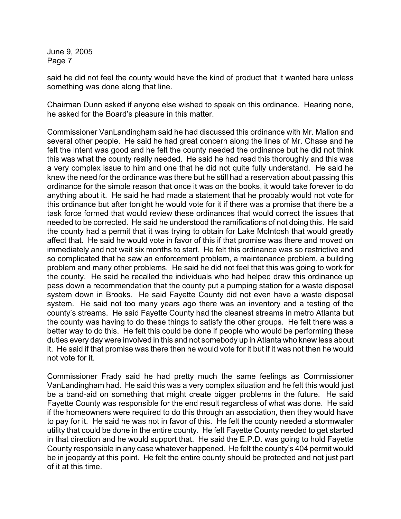said he did not feel the county would have the kind of product that it wanted here unless something was done along that line.

Chairman Dunn asked if anyone else wished to speak on this ordinance. Hearing none, he asked for the Board's pleasure in this matter.

Commissioner VanLandingham said he had discussed this ordinance with Mr. Mallon and several other people. He said he had great concern along the lines of Mr. Chase and he felt the intent was good and he felt the county needed the ordinance but he did not think this was what the county really needed. He said he had read this thoroughly and this was a very complex issue to him and one that he did not quite fully understand. He said he knew the need for the ordinance was there but he still had a reservation about passing this ordinance for the simple reason that once it was on the books, it would take forever to do anything about it. He said he had made a statement that he probably would not vote for this ordinance but after tonight he would vote for it if there was a promise that there be a task force formed that would review these ordinances that would correct the issues that needed to be corrected. He said he understood the ramifications of not doing this. He said the county had a permit that it was trying to obtain for Lake McIntosh that would greatly affect that. He said he would vote in favor of this if that promise was there and moved on immediately and not wait six months to start. He felt this ordinance was so restrictive and so complicated that he saw an enforcement problem, a maintenance problem, a building problem and many other problems. He said he did not feel that this was going to work for the county. He said he recalled the individuals who had helped draw this ordinance up pass down a recommendation that the county put a pumping station for a waste disposal system down in Brooks. He said Fayette County did not even have a waste disposal system. He said not too many years ago there was an inventory and a testing of the county's streams. He said Fayette County had the cleanest streams in metro Atlanta but the county was having to do these things to satisfy the other groups. He felt there was a better way to do this. He felt this could be done if people who would be performing these duties every day were involved in this and not somebody up in Atlanta who knew less about it. He said if that promise was there then he would vote for it but if it was not then he would not vote for it.

Commissioner Frady said he had pretty much the same feelings as Commissioner VanLandingham had. He said this was a very complex situation and he felt this would just be a band-aid on something that might create bigger problems in the future. He said Fayette County was responsible for the end result regardless of what was done. He said if the homeowners were required to do this through an association, then they would have to pay for it. He said he was not in favor of this. He felt the county needed a stormwater utility that could be done in the entire county. He felt Fayette County needed to get started in that direction and he would support that. He said the E.P.D. was going to hold Fayette County responsible in any case whatever happened. He felt the county's 404 permit would be in jeopardy at this point. He felt the entire county should be protected and not just part of it at this time.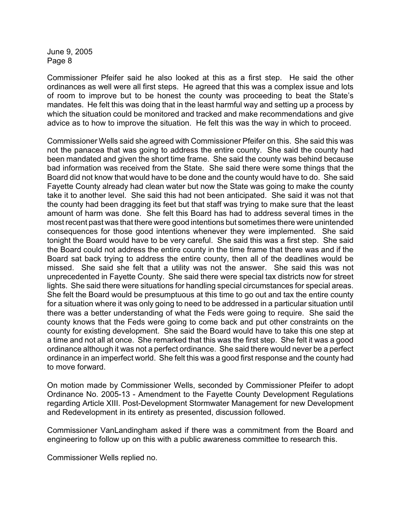Commissioner Pfeifer said he also looked at this as a first step. He said the other ordinances as well were all first steps. He agreed that this was a complex issue and lots of room to improve but to be honest the county was proceeding to beat the State's mandates. He felt this was doing that in the least harmful way and setting up a process by which the situation could be monitored and tracked and make recommendations and give advice as to how to improve the situation. He felt this was the way in which to proceed.

Commissioner Wells said she agreed with Commissioner Pfeifer on this. She said this was not the panacea that was going to address the entire county. She said the county had been mandated and given the short time frame. She said the county was behind because bad information was received from the State. She said there were some things that the Board did not know that would have to be done and the county would have to do. She said Fayette County already had clean water but now the State was going to make the county take it to another level. She said this had not been anticipated. She said it was not that the county had been dragging its feet but that staff was trying to make sure that the least amount of harm was done. She felt this Board has had to address several times in the most recent past was that there were good intentions but sometimes there were unintended consequences for those good intentions whenever they were implemented. She said tonight the Board would have to be very careful. She said this was a first step. She said the Board could not address the entire county in the time frame that there was and if the Board sat back trying to address the entire county, then all of the deadlines would be missed. She said she felt that a utility was not the answer. She said this was not unprecedented in Fayette County. She said there were special tax districts now for street lights. She said there were situations for handling special circumstances for special areas. She felt the Board would be presumptuous at this time to go out and tax the entire county for a situation where it was only going to need to be addressed in a particular situation until there was a better understanding of what the Feds were going to require. She said the county knows that the Feds were going to come back and put other constraints on the county for existing development. She said the Board would have to take this one step at a time and not all at once. She remarked that this was the first step. She felt it was a good ordinance although it was not a perfect ordinance. She said there would never be a perfect ordinance in an imperfect world. She felt this was a good first response and the county had to move forward.

On motion made by Commissioner Wells, seconded by Commissioner Pfeifer to adopt Ordinance No. 2005-13 - Amendment to the Fayette County Development Regulations regarding Article XIII. Post-Development Stormwater Management for new Development and Redevelopment in its entirety as presented, discussion followed.

Commissioner VanLandingham asked if there was a commitment from the Board and engineering to follow up on this with a public awareness committee to research this.

Commissioner Wells replied no.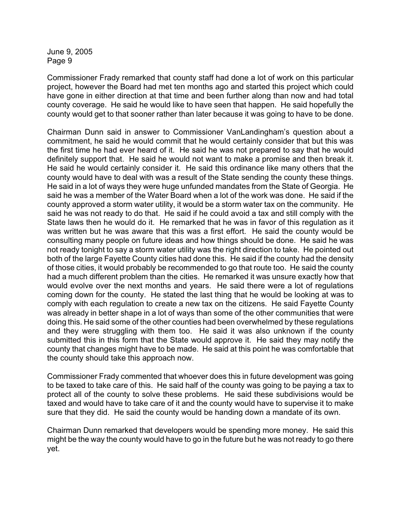Commissioner Frady remarked that county staff had done a lot of work on this particular project, however the Board had met ten months ago and started this project which could have gone in either direction at that time and been further along than now and had total county coverage. He said he would like to have seen that happen. He said hopefully the county would get to that sooner rather than later because it was going to have to be done.

Chairman Dunn said in answer to Commissioner VanLandingham's question about a commitment, he said he would commit that he would certainly consider that but this was the first time he had ever heard of it. He said he was not prepared to say that he would definitely support that. He said he would not want to make a promise and then break it. He said he would certainly consider it. He said this ordinance like many others that the county would have to deal with was a result of the State sending the county these things. He said in a lot of ways they were huge unfunded mandates from the State of Georgia. He said he was a member of the Water Board when a lot of the work was done. He said if the county approved a storm water utility, it would be a storm water tax on the community. He said he was not ready to do that. He said if he could avoid a tax and still comply with the State laws then he would do it. He remarked that he was in favor of this regulation as it was written but he was aware that this was a first effort. He said the county would be consulting many people on future ideas and how things should be done. He said he was not ready tonight to say a storm water utility was the right direction to take. He pointed out both of the large Fayette County cities had done this. He said if the county had the density of those cities, it would probably be recommended to go that route too. He said the county had a much different problem than the cities. He remarked it was unsure exactly how that would evolve over the next months and years. He said there were a lot of regulations coming down for the county. He stated the last thing that he would be looking at was to comply with each regulation to create a new tax on the citizens. He said Fayette County was already in better shape in a lot of ways than some of the other communities that were doing this. He said some of the other counties had been overwhelmed by these regulations and they were struggling with them too. He said it was also unknown if the county submitted this in this form that the State would approve it. He said they may notify the county that changes might have to be made. He said at this point he was comfortable that the county should take this approach now.

Commissioner Frady commented that whoever does this in future development was going to be taxed to take care of this. He said half of the county was going to be paying a tax to protect all of the county to solve these problems. He said these subdivisions would be taxed and would have to take care of it and the county would have to supervise it to make sure that they did. He said the county would be handing down a mandate of its own.

Chairman Dunn remarked that developers would be spending more money. He said this might be the way the county would have to go in the future but he was not ready to go there yet.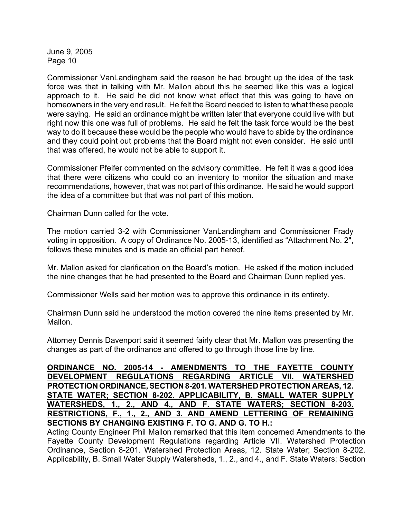Commissioner VanLandingham said the reason he had brought up the idea of the task force was that in talking with Mr. Mallon about this he seemed like this was a logical approach to it. He said he did not know what effect that this was going to have on homeowners in the very end result. He felt the Board needed to listen to what these people were saying. He said an ordinance might be written later that everyone could live with but right now this one was full of problems. He said he felt the task force would be the best way to do it because these would be the people who would have to abide by the ordinance and they could point out problems that the Board might not even consider. He said until that was offered, he would not be able to support it.

Commissioner Pfeifer commented on the advisory committee. He felt it was a good idea that there were citizens who could do an inventory to monitor the situation and make recommendations, however, that was not part of this ordinance. He said he would support the idea of a committee but that was not part of this motion.

Chairman Dunn called for the vote.

The motion carried 3-2 with Commissioner VanLandingham and Commissioner Frady voting in opposition. A copy of Ordinance No. 2005-13, identified as "Attachment No. 2", follows these minutes and is made an official part hereof.

Mr. Mallon asked for clarification on the Board's motion. He asked if the motion included the nine changes that he had presented to the Board and Chairman Dunn replied yes.

Commissioner Wells said her motion was to approve this ordinance in its entirety.

Chairman Dunn said he understood the motion covered the nine items presented by Mr. Mallon.

Attorney Dennis Davenport said it seemed fairly clear that Mr. Mallon was presenting the changes as part of the ordinance and offered to go through those line by line.

**ORDINANCE NO. 2005-14 - AMENDMENTS TO THE FAYETTE COUNTY DEVELOPMENT REGULATIONS REGARDING ARTICLE VII. WATERSHED PROTECTION ORDINANCE, SECTION 8-201. WATERSHED PROTECTION AREAS, 12. STATE WATER; SECTION 8-202. APPLICABILITY, B. SMALL WATER SUPPLY WATERSHEDS, 1., 2., AND 4., AND F. STATE WATERS; SECTION 8-203. RESTRICTIONS, F., 1., 2., AND 3. AND AMEND LETTERING OF REMAINING SECTIONS BY CHANGING EXISTING F. TO G. AND G. TO H.:** 

Acting County Engineer Phil Mallon remarked that this item concerned Amendments to the Fayette County Development Regulations regarding Article VII. Watershed Protection Ordinance, Section 8-201. Watershed Protection Areas, 12. State Water; Section 8-202. Applicability, B. Small Water Supply Watersheds, 1., 2., and 4., and F. State Waters; Section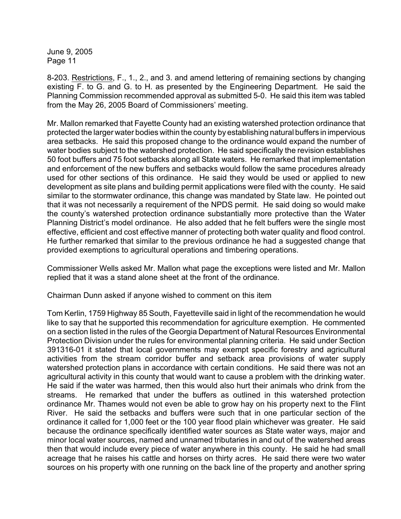8-203. Restrictions, F., 1., 2., and 3. and amend lettering of remaining sections by changing existing F. to G. and G. to H. as presented by the Engineering Department. He said the Planning Commission recommended approval as submitted 5-0. He said this item was tabled from the May 26, 2005 Board of Commissioners' meeting.

Mr. Mallon remarked that Fayette County had an existing watershed protection ordinance that protected the larger water bodies within the county by establishing natural buffers in impervious area setbacks. He said this proposed change to the ordinance would expand the number of water bodies subject to the watershed protection. He said specifically the revision establishes 50 foot buffers and 75 foot setbacks along all State waters. He remarked that implementation and enforcement of the new buffers and setbacks would follow the same procedures already used for other sections of this ordinance. He said they would be used or applied to new development as site plans and building permit applications were filed with the county. He said similar to the stormwater ordinance, this change was mandated by State law. He pointed out that it was not necessarily a requirement of the NPDS permit. He said doing so would make the county's watershed protection ordinance substantially more protective than the Water Planning District's model ordinance. He also added that he felt buffers were the single most effective, efficient and cost effective manner of protecting both water quality and flood control. He further remarked that similar to the previous ordinance he had a suggested change that provided exemptions to agricultural operations and timbering operations.

Commissioner Wells asked Mr. Mallon what page the exceptions were listed and Mr. Mallon replied that it was a stand alone sheet at the front of the ordinance.

Chairman Dunn asked if anyone wished to comment on this item

Tom Kerlin, 1759 Highway 85 South, Fayetteville said in light of the recommendation he would like to say that he supported this recommendation for agriculture exemption. He commented on a section listed in the rules of the Georgia Department of Natural Resources Environmental Protection Division under the rules for environmental planning criteria. He said under Section 391316-01 it stated that local governments may exempt specific forestry and agricultural activities from the stream corridor buffer and setback area provisions of water supply watershed protection plans in accordance with certain conditions. He said there was not an agricultural activity in this county that would want to cause a problem with the drinking water. He said if the water was harmed, then this would also hurt their animals who drink from the streams. He remarked that under the buffers as outlined in this watershed protection ordinance Mr. Thames would not even be able to grow hay on his property next to the Flint River. He said the setbacks and buffers were such that in one particular section of the ordinance it called for 1,000 feet or the 100 year flood plain whichever was greater. He said because the ordinance specifically identified water sources as State water ways, major and minor local water sources, named and unnamed tributaries in and out of the watershed areas then that would include every piece of water anywhere in this county. He said he had small acreage that he raises his cattle and horses on thirty acres. He said there were two water sources on his property with one running on the back line of the property and another spring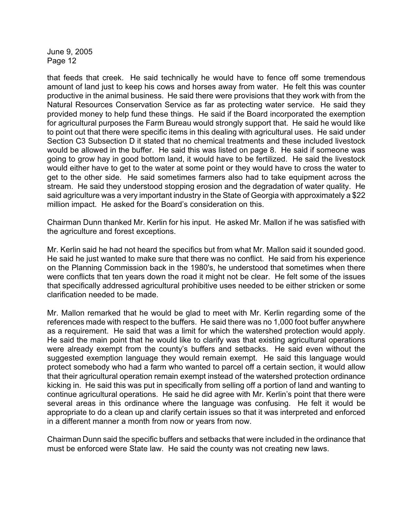that feeds that creek. He said technically he would have to fence off some tremendous amount of land just to keep his cows and horses away from water. He felt this was counter productive in the animal business. He said there were provisions that they work with from the Natural Resources Conservation Service as far as protecting water service. He said they provided money to help fund these things. He said if the Board incorporated the exemption for agricultural purposes the Farm Bureau would strongly support that. He said he would like to point out that there were specific items in this dealing with agricultural uses. He said under Section C3 Subsection D it stated that no chemical treatments and these included livestock would be allowed in the buffer. He said this was listed on page 8. He said if someone was going to grow hay in good bottom land, it would have to be fertilized. He said the livestock would either have to get to the water at some point or they would have to cross the water to get to the other side. He said sometimes farmers also had to take equipment across the stream. He said they understood stopping erosion and the degradation of water quality. He said agriculture was a very important industry in the State of Georgia with approximately a \$22 million impact. He asked for the Board's consideration on this.

Chairman Dunn thanked Mr. Kerlin for his input. He asked Mr. Mallon if he was satisfied with the agriculture and forest exceptions.

Mr. Kerlin said he had not heard the specifics but from what Mr. Mallon said it sounded good. He said he just wanted to make sure that there was no conflict. He said from his experience on the Planning Commission back in the 1980's, he understood that sometimes when there were conflicts that ten years down the road it might not be clear. He felt some of the issues that specifically addressed agricultural prohibitive uses needed to be either stricken or some clarification needed to be made.

Mr. Mallon remarked that he would be glad to meet with Mr. Kerlin regarding some of the references made with respect to the buffers. He said there was no 1,000 foot buffer anywhere as a requirement. He said that was a limit for which the watershed protection would apply. He said the main point that he would like to clarify was that existing agricultural operations were already exempt from the county's buffers and setbacks. He said even without the suggested exemption language they would remain exempt. He said this language would protect somebody who had a farm who wanted to parcel off a certain section, it would allow that their agricultural operation remain exempt instead of the watershed protection ordinance kicking in. He said this was put in specifically from selling off a portion of land and wanting to continue agricultural operations. He said he did agree with Mr. Kerlin's point that there were several areas in this ordinance where the language was confusing. He felt it would be appropriate to do a clean up and clarify certain issues so that it was interpreted and enforced in a different manner a month from now or years from now.

Chairman Dunn said the specific buffers and setbacks that were included in the ordinance that must be enforced were State law. He said the county was not creating new laws.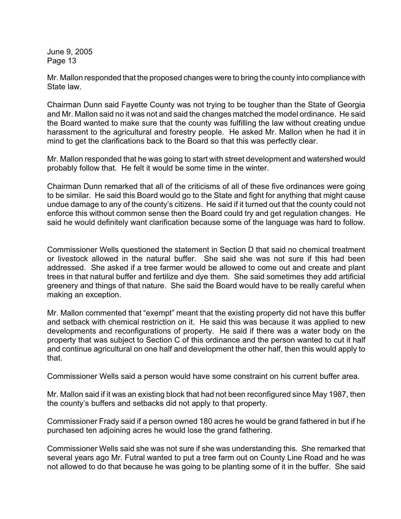Mr. Mallon responded that the proposed changes were to bring the county into compliance with State law.

Chairman Dunn said Fayette County was not trying to be tougher than the State of Georgia and Mr. Mallon said no it was not and said the changes matched the model ordinance. He said the Board wanted to make sure that the county was fulfilling the law without creating undue harassment to the agricultural and forestry people. He asked Mr. Mallon when he had it in mind to get the clarifications back to the Board so that this was perfectly clear.

Mr. Mallon responded that he was going to start with street development and watershed would probably follow that. He felt it would be some time in the winter.

Chairman Dunn remarked that all of the criticisms of all of these five ordinances were going to be similar. He said this Board would go to the State and fight for anything that might cause undue damage to any of the county's citizens. He said if it turned out that the county could not enforce this without common sense then the Board could try and get regulation changes. He said he would definitely want clarification because some of the language was hard to follow.

Commissioner Wells questioned the statement in Section D that said no chemical treatment or livestock allowed in the natural buffer. She said she was not sure if this had been addressed. She asked if a tree farmer would be allowed to come out and create and plant trees in that natural buffer and fertilize and dye them. She said sometimes they add artificial greenery and things of that nature. She said the Board would have to be really careful when making an exception.

Mr. Mallon commented that "exempt" meant that the existing property did not have this buffer and setback with chemical restriction on it. He said this was because it was applied to new developments and reconfigurations of property. He said if there was a water body on the property that was subject to Section C of this ordinance and the person wanted to cut it half and continue agricultural on one half and development the other half, then this would apply to that.

Commissioner Wells said a person would have some constraint on his current buffer area.

Mr. Mallon said if it was an existing block that had not been reconfigured since May 1987, then the county's buffers and setbacks did not apply to that property.

Commissioner Frady said if a person owned 180 acres he would be grand fathered in but if he purchased ten adjoining acres he would lose the grand fathering.

Commissioner Wells said she was not sure if she was understanding this. She remarked that several years ago Mr. Futral wanted to put a tree farm out on County Line Road and he was not allowed to do that because he was going to be planting some of it in the buffer. She said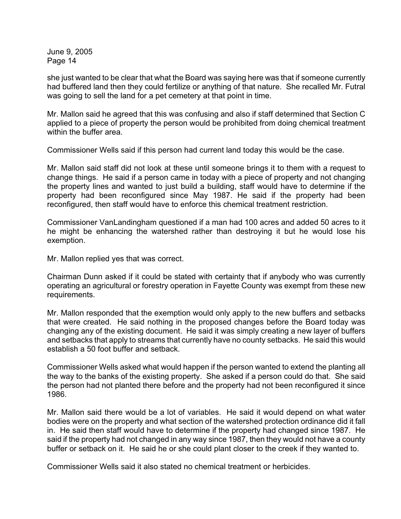she just wanted to be clear that what the Board was saying here was that if someone currently had buffered land then they could fertilize or anything of that nature. She recalled Mr. Futral was going to sell the land for a pet cemetery at that point in time.

Mr. Mallon said he agreed that this was confusing and also if staff determined that Section C applied to a piece of property the person would be prohibited from doing chemical treatment within the buffer area.

Commissioner Wells said if this person had current land today this would be the case.

Mr. Mallon said staff did not look at these until someone brings it to them with a request to change things. He said if a person came in today with a piece of property and not changing the property lines and wanted to just build a building, staff would have to determine if the property had been reconfigured since May 1987. He said if the property had been reconfigured, then staff would have to enforce this chemical treatment restriction.

Commissioner VanLandingham questioned if a man had 100 acres and added 50 acres to it he might be enhancing the watershed rather than destroying it but he would lose his exemption.

Mr. Mallon replied yes that was correct.

Chairman Dunn asked if it could be stated with certainty that if anybody who was currently operating an agricultural or forestry operation in Fayette County was exempt from these new requirements.

Mr. Mallon responded that the exemption would only apply to the new buffers and setbacks that were created. He said nothing in the proposed changes before the Board today was changing any of the existing document. He said it was simply creating a new layer of buffers and setbacks that apply to streams that currently have no county setbacks. He said this would establish a 50 foot buffer and setback.

Commissioner Wells asked what would happen if the person wanted to extend the planting all the way to the banks of the existing property. She asked if a person could do that. She said the person had not planted there before and the property had not been reconfigured it since 1986.

Mr. Mallon said there would be a lot of variables. He said it would depend on what water bodies were on the property and what section of the watershed protection ordinance did it fall in. He said then staff would have to determine if the property had changed since 1987. He said if the property had not changed in any way since 1987, then they would not have a county buffer or setback on it. He said he or she could plant closer to the creek if they wanted to.

Commissioner Wells said it also stated no chemical treatment or herbicides.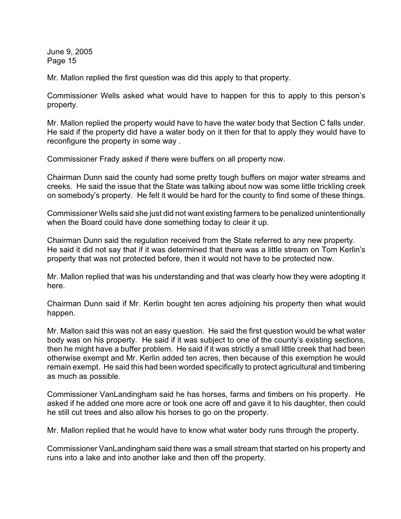Mr. Mallon replied the first question was did this apply to that property.

Commissioner Wells asked what would have to happen for this to apply to this person's property.

Mr. Mallon replied the property would have to have the water body that Section C falls under. He said if the property did have a water body on it then for that to apply they would have to reconfigure the property in some way .

Commissioner Frady asked if there were buffers on all property now.

Chairman Dunn said the county had some pretty tough buffers on major water streams and creeks. He said the issue that the State was talking about now was some little trickling creek on somebody's property. He felt it would be hard for the county to find some of these things.

Commissioner Wells said she just did not want existing farmers to be penalized unintentionally when the Board could have done something today to clear it up.

Chairman Dunn said the regulation received from the State referred to any new property. He said it did not say that if it was determined that there was a little stream on Tom Kerlin's property that was not protected before, then it would not have to be protected now.

Mr. Mallon replied that was his understanding and that was clearly how they were adopting it here.

Chairman Dunn said if Mr. Kerlin bought ten acres adjoining his property then what would happen.

Mr. Mallon said this was not an easy question. He said the first question would be what water body was on his property. He said if it was subject to one of the county's existing sections, then he might have a buffer problem. He said if it was strictly a small little creek that had been otherwise exempt and Mr. Kerlin added ten acres, then because of this exemption he would remain exempt. He said this had been worded specifically to protect agricultural and timbering as much as possible.

Commissioner VanLandingham said he has horses, farms and timbers on his property. He asked if he added one more acre or took one acre off and gave it to his daughter, then could he still cut trees and also allow his horses to go on the property.

Mr. Mallon replied that he would have to know what water body runs through the property.

Commissioner VanLandingham said there was a small stream that started on his property and runs into a lake and into another lake and then off the property.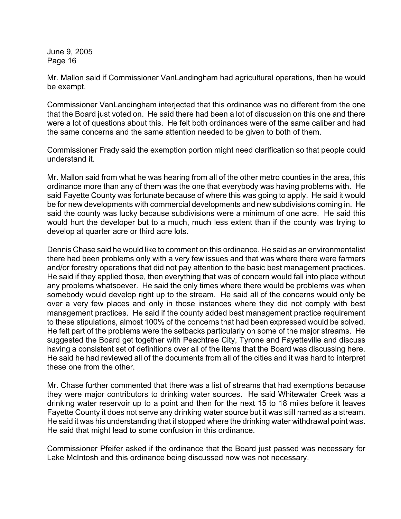Mr. Mallon said if Commissioner VanLandingham had agricultural operations, then he would be exempt.

Commissioner VanLandingham interjected that this ordinance was no different from the one that the Board just voted on. He said there had been a lot of discussion on this one and there were a lot of questions about this. He felt both ordinances were of the same caliber and had the same concerns and the same attention needed to be given to both of them.

Commissioner Frady said the exemption portion might need clarification so that people could understand it.

Mr. Mallon said from what he was hearing from all of the other metro counties in the area, this ordinance more than any of them was the one that everybody was having problems with. He said Fayette County was fortunate because of where this was going to apply. He said it would be for new developments with commercial developments and new subdivisions coming in. He said the county was lucky because subdivisions were a minimum of one acre. He said this would hurt the developer but to a much, much less extent than if the county was trying to develop at quarter acre or third acre lots.

Dennis Chase said he would like to comment on this ordinance. He said as an environmentalist there had been problems only with a very few issues and that was where there were farmers and/or forestry operations that did not pay attention to the basic best management practices. He said if they applied those, then everything that was of concern would fall into place without any problems whatsoever. He said the only times where there would be problems was when somebody would develop right up to the stream. He said all of the concerns would only be over a very few places and only in those instances where they did not comply with best management practices. He said if the county added best management practice requirement to these stipulations, almost 100% of the concerns that had been expressed would be solved. He felt part of the problems were the setbacks particularly on some of the major streams. He suggested the Board get together with Peachtree City, Tyrone and Fayetteville and discuss having a consistent set of definitions over all of the items that the Board was discussing here. He said he had reviewed all of the documents from all of the cities and it was hard to interpret these one from the other.

Mr. Chase further commented that there was a list of streams that had exemptions because they were major contributors to drinking water sources. He said Whitewater Creek was a drinking water reservoir up to a point and then for the next 15 to 18 miles before it leaves Fayette County it does not serve any drinking water source but it was still named as a stream. He said it was his understanding that it stopped where the drinking water withdrawal point was. He said that might lead to some confusion in this ordinance.

Commissioner Pfeifer asked if the ordinance that the Board just passed was necessary for Lake McIntosh and this ordinance being discussed now was not necessary.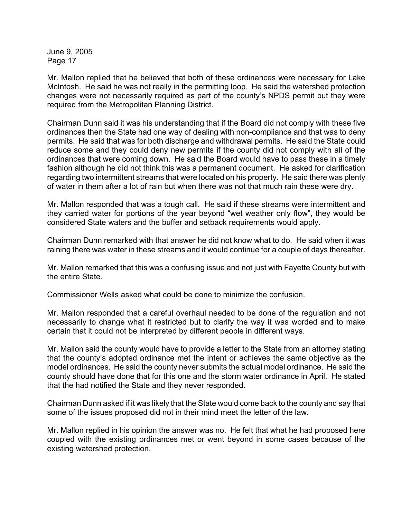Mr. Mallon replied that he believed that both of these ordinances were necessary for Lake McIntosh. He said he was not really in the permitting loop. He said the watershed protection changes were not necessarily required as part of the county's NPDS permit but they were required from the Metropolitan Planning District.

Chairman Dunn said it was his understanding that if the Board did not comply with these five ordinances then the State had one way of dealing with non-compliance and that was to deny permits. He said that was for both discharge and withdrawal permits. He said the State could reduce some and they could deny new permits if the county did not comply with all of the ordinances that were coming down. He said the Board would have to pass these in a timely fashion although he did not think this was a permanent document. He asked for clarification regarding two intermittent streams that were located on his property. He said there was plenty of water in them after a lot of rain but when there was not that much rain these were dry.

Mr. Mallon responded that was a tough call. He said if these streams were intermittent and they carried water for portions of the year beyond "wet weather only flow", they would be considered State waters and the buffer and setback requirements would apply.

Chairman Dunn remarked with that answer he did not know what to do. He said when it was raining there was water in these streams and it would continue for a couple of days thereafter.

Mr. Mallon remarked that this was a confusing issue and not just with Fayette County but with the entire State.

Commissioner Wells asked what could be done to minimize the confusion.

Mr. Mallon responded that a careful overhaul needed to be done of the regulation and not necessarily to change what it restricted but to clarify the way it was worded and to make certain that it could not be interpreted by different people in different ways.

Mr. Mallon said the county would have to provide a letter to the State from an attorney stating that the county's adopted ordinance met the intent or achieves the same objective as the model ordinances. He said the county never submits the actual model ordinance. He said the county should have done that for this one and the storm water ordinance in April. He stated that the had notified the State and they never responded.

Chairman Dunn asked if it was likely that the State would come back to the county and say that some of the issues proposed did not in their mind meet the letter of the law.

Mr. Mallon replied in his opinion the answer was no. He felt that what he had proposed here coupled with the existing ordinances met or went beyond in some cases because of the existing watershed protection.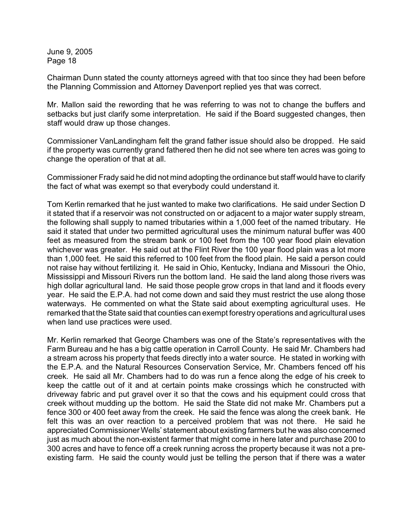Chairman Dunn stated the county attorneys agreed with that too since they had been before the Planning Commission and Attorney Davenport replied yes that was correct.

Mr. Mallon said the rewording that he was referring to was not to change the buffers and setbacks but just clarify some interpretation. He said if the Board suggested changes, then staff would draw up those changes.

Commissioner VanLandingham felt the grand father issue should also be dropped. He said if the property was currently grand fathered then he did not see where ten acres was going to change the operation of that at all.

Commissioner Frady said he did not mind adopting the ordinance but staff would have to clarify the fact of what was exempt so that everybody could understand it.

Tom Kerlin remarked that he just wanted to make two clarifications. He said under Section D it stated that if a reservoir was not constructed on or adjacent to a major water supply stream, the following shall supply to named tributaries within a 1,000 feet of the named tributary. He said it stated that under two permitted agricultural uses the minimum natural buffer was 400 feet as measured from the stream bank or 100 feet from the 100 year flood plain elevation whichever was greater. He said out at the Flint River the 100 year flood plain was a lot more than 1,000 feet. He said this referred to 100 feet from the flood plain. He said a person could not raise hay without fertilizing it. He said in Ohio, Kentucky, Indiana and Missouri the Ohio, Mississippi and Missouri Rivers run the bottom land. He said the land along those rivers was high dollar agricultural land. He said those people grow crops in that land and it floods every year. He said the E.P.A. had not come down and said they must restrict the use along those waterways. He commented on what the State said about exempting agricultural uses. He remarked that the State said that counties can exempt forestry operations and agricultural uses when land use practices were used.

Mr. Kerlin remarked that George Chambers was one of the State's representatives with the Farm Bureau and he has a big cattle operation in Carroll County. He said Mr. Chambers had a stream across his property that feeds directly into a water source. He stated in working with the E.P.A. and the Natural Resources Conservation Service, Mr. Chambers fenced off his creek. He said all Mr. Chambers had to do was run a fence along the edge of his creek to keep the cattle out of it and at certain points make crossings which he constructed with driveway fabric and put gravel over it so that the cows and his equipment could cross that creek without mudding up the bottom. He said the State did not make Mr. Chambers put a fence 300 or 400 feet away from the creek. He said the fence was along the creek bank. He felt this was an over reaction to a perceived problem that was not there. He said he appreciated Commissioner Wells' statement about existing farmers but he was also concerned just as much about the non-existent farmer that might come in here later and purchase 200 to 300 acres and have to fence off a creek running across the property because it was not a preexisting farm. He said the county would just be telling the person that if there was a water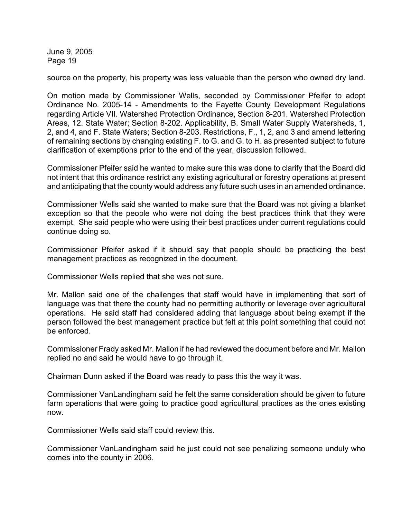source on the property, his property was less valuable than the person who owned dry land.

On motion made by Commissioner Wells, seconded by Commissioner Pfeifer to adopt Ordinance No. 2005-14 - Amendments to the Fayette County Development Regulations regarding Article VII. Watershed Protection Ordinance, Section 8-201. Watershed Protection Areas, 12. State Water; Section 8-202. Applicability, B. Small Water Supply Watersheds, 1, 2, and 4, and F. State Waters; Section 8-203. Restrictions, F., 1, 2, and 3 and amend lettering of remaining sections by changing existing F. to G. and G. to H. as presented subject to future clarification of exemptions prior to the end of the year, discussion followed.

Commissioner Pfeifer said he wanted to make sure this was done to clarify that the Board did not intent that this ordinance restrict any existing agricultural or forestry operations at present and anticipating that the county would address any future such uses in an amended ordinance.

Commissioner Wells said she wanted to make sure that the Board was not giving a blanket exception so that the people who were not doing the best practices think that they were exempt. She said people who were using their best practices under current regulations could continue doing so.

Commissioner Pfeifer asked if it should say that people should be practicing the best management practices as recognized in the document.

Commissioner Wells replied that she was not sure.

Mr. Mallon said one of the challenges that staff would have in implementing that sort of language was that there the county had no permitting authority or leverage over agricultural operations. He said staff had considered adding that language about being exempt if the person followed the best management practice but felt at this point something that could not be enforced.

Commissioner Frady asked Mr. Mallon if he had reviewed the document before and Mr. Mallon replied no and said he would have to go through it.

Chairman Dunn asked if the Board was ready to pass this the way it was.

Commissioner VanLandingham said he felt the same consideration should be given to future farm operations that were going to practice good agricultural practices as the ones existing now.

Commissioner Wells said staff could review this.

Commissioner VanLandingham said he just could not see penalizing someone unduly who comes into the county in 2006.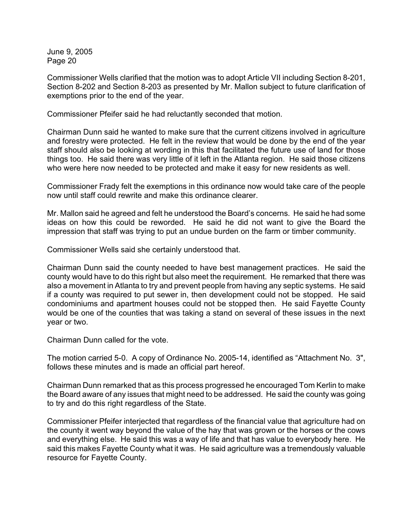Commissioner Wells clarified that the motion was to adopt Article VII including Section 8-201, Section 8-202 and Section 8-203 as presented by Mr. Mallon subject to future clarification of exemptions prior to the end of the year.

Commissioner Pfeifer said he had reluctantly seconded that motion.

Chairman Dunn said he wanted to make sure that the current citizens involved in agriculture and forestry were protected. He felt in the review that would be done by the end of the year staff should also be looking at wording in this that facilitated the future use of land for those things too. He said there was very little of it left in the Atlanta region. He said those citizens who were here now needed to be protected and make it easy for new residents as well.

Commissioner Frady felt the exemptions in this ordinance now would take care of the people now until staff could rewrite and make this ordinance clearer.

Mr. Mallon said he agreed and felt he understood the Board's concerns. He said he had some ideas on how this could be reworded. He said he did not want to give the Board the impression that staff was trying to put an undue burden on the farm or timber community.

Commissioner Wells said she certainly understood that.

Chairman Dunn said the county needed to have best management practices. He said the county would have to do this right but also meet the requirement. He remarked that there was also a movement in Atlanta to try and prevent people from having any septic systems. He said if a county was required to put sewer in, then development could not be stopped. He said condominiums and apartment houses could not be stopped then. He said Fayette County would be one of the counties that was taking a stand on several of these issues in the next year or two.

Chairman Dunn called for the vote.

The motion carried 5-0. A copy of Ordinance No. 2005-14, identified as "Attachment No. 3", follows these minutes and is made an official part hereof.

Chairman Dunn remarked that as this process progressed he encouraged Tom Kerlin to make the Board aware of any issues that might need to be addressed. He said the county was going to try and do this right regardless of the State.

Commissioner Pfeifer interjected that regardless of the financial value that agriculture had on the county it went way beyond the value of the hay that was grown or the horses or the cows and everything else. He said this was a way of life and that has value to everybody here. He said this makes Fayette County what it was. He said agriculture was a tremendously valuable resource for Fayette County.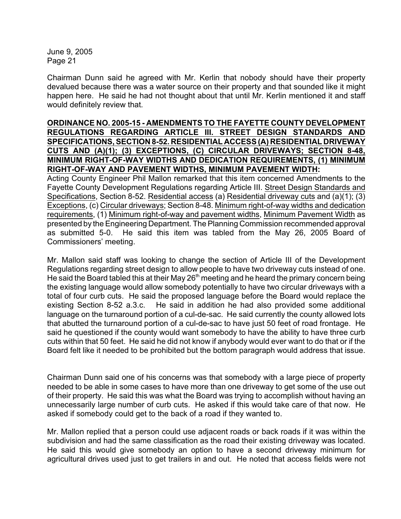Chairman Dunn said he agreed with Mr. Kerlin that nobody should have their property devalued because there was a water source on their property and that sounded like it might happen here. He said he had not thought about that until Mr. Kerlin mentioned it and staff would definitely review that.

### **ORDINANCE NO. 2005-15 - AMENDMENTS TO THE FAYETTE COUNTY DEVELOPMENT REGULATIONS REGARDING ARTICLE III. STREET DESIGN STANDARDS AND SPECIFICATIONS, SECTION 8-52. RESIDENTIAL ACCESS (A) RESIDENTIAL DRIVEWAY CUTS AND (A)(1); (3) EXCEPTIONS, (C) CIRCULAR DRIVEWAYS; SECTION 8-48, MINIMUM RIGHT-OF-WAY WIDTHS AND DEDICATION REQUIREMENTS, (1) MINIMUM RIGHT-OF-WAY AND PAVEMENT WIDTHS, MINIMUM PAVEMENT WIDTH:**

Acting County Engineer Phil Mallon remarked that this item concerned Amendments to the Fayette County Development Regulations regarding Article III. Street Design Standards and Specifications, Section 8-52. Residential access (a) Residential driveway cuts and (a)(1); (3) Exceptions, (c) Circular driveways; Section 8-48. Minimum right-of-way widths and dedication requirements, (1) Minimum right-of-way and pavement widths, Minimum Pavement Width as presented by the Engineering Department. The Planning Commission recommended approval as submitted 5-0. He said this item was tabled from the May 26, 2005 Board of Commissioners' meeting.

Mr. Mallon said staff was looking to change the section of Article III of the Development Regulations regarding street design to allow people to have two driveway cuts instead of one. He said the Board tabled this at their May 26<sup>th</sup> meeting and he heard the primary concern being the existing language would allow somebody potentially to have two circular driveways with a total of four curb cuts. He said the proposed language before the Board would replace the existing Section 8-52 a.3.c. He said in addition he had also provided some additional language on the turnaround portion of a cul-de-sac. He said currently the county allowed lots that abutted the turnaround portion of a cul-de-sac to have just 50 feet of road frontage. He said he questioned if the county would want somebody to have the ability to have three curb cuts within that 50 feet. He said he did not know if anybody would ever want to do that or if the Board felt like it needed to be prohibited but the bottom paragraph would address that issue.

Chairman Dunn said one of his concerns was that somebody with a large piece of property needed to be able in some cases to have more than one driveway to get some of the use out of their property. He said this was what the Board was trying to accomplish without having an unnecessarily large number of curb cuts. He asked if this would take care of that now. He asked if somebody could get to the back of a road if they wanted to.

Mr. Mallon replied that a person could use adjacent roads or back roads if it was within the subdivision and had the same classification as the road their existing driveway was located. He said this would give somebody an option to have a second driveway minimum for agricultural drives used just to get trailers in and out. He noted that access fields were not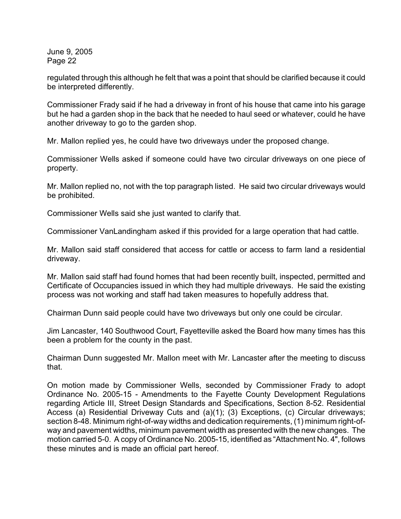regulated through this although he felt that was a point that should be clarified because it could be interpreted differently.

Commissioner Frady said if he had a driveway in front of his house that came into his garage but he had a garden shop in the back that he needed to haul seed or whatever, could he have another driveway to go to the garden shop.

Mr. Mallon replied yes, he could have two driveways under the proposed change.

Commissioner Wells asked if someone could have two circular driveways on one piece of property.

Mr. Mallon replied no, not with the top paragraph listed. He said two circular driveways would be prohibited.

Commissioner Wells said she just wanted to clarify that.

Commissioner VanLandingham asked if this provided for a large operation that had cattle.

Mr. Mallon said staff considered that access for cattle or access to farm land a residential driveway.

Mr. Mallon said staff had found homes that had been recently built, inspected, permitted and Certificate of Occupancies issued in which they had multiple driveways. He said the existing process was not working and staff had taken measures to hopefully address that.

Chairman Dunn said people could have two driveways but only one could be circular.

Jim Lancaster, 140 Southwood Court, Fayetteville asked the Board how many times has this been a problem for the county in the past.

Chairman Dunn suggested Mr. Mallon meet with Mr. Lancaster after the meeting to discuss that.

On motion made by Commissioner Wells, seconded by Commissioner Frady to adopt Ordinance No. 2005-15 - Amendments to the Fayette County Development Regulations regarding Article III, Street Design Standards and Specifications, Section 8-52. Residential Access (a) Residential Driveway Cuts and (a)(1); (3) Exceptions, (c) Circular driveways; section 8-48. Minimum right-of-way widths and dedication requirements, (1) minimum right-ofway and pavement widths, minimum pavement width as presented with the new changes. The motion carried 5-0. A copy of Ordinance No. 2005-15, identified as "Attachment No. 4", follows these minutes and is made an official part hereof.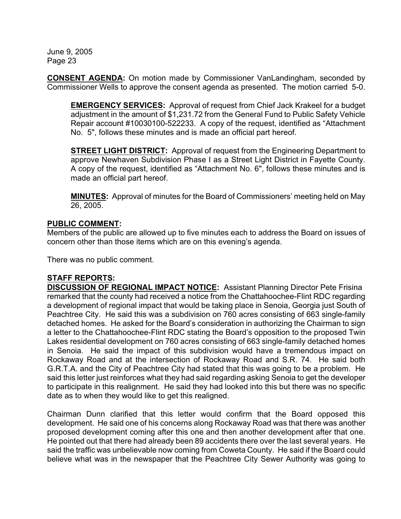**CONSENT AGENDA:** On motion made by Commissioner VanLandingham, seconded by Commissioner Wells to approve the consent agenda as presented. The motion carried 5-0.

**EMERGENCY SERVICES:** Approval of request from Chief Jack Krakeel for a budget adjustment in the amount of \$1,231.72 from the General Fund to Public Safety Vehicle Repair account #10030100-522233. A copy of the request, identified as "Attachment No. 5", follows these minutes and is made an official part hereof.

**STREET LIGHT DISTRICT:** Approval of request from the Engineering Department to approve Newhaven Subdivision Phase I as a Street Light District in Fayette County. A copy of the request, identified as "Attachment No. 6", follows these minutes and is made an official part hereof.

**MINUTES:** Approval of minutes for the Board of Commissioners' meeting held on May 26, 2005.

## **PUBLIC COMMENT:**

Members of the public are allowed up to five minutes each to address the Board on issues of concern other than those items which are on this evening's agenda.

There was no public comment.

# **STAFF REPORTS:**

**DISCUSSION OF REGIONAL IMPACT NOTICE:** Assistant Planning Director Pete Frisina remarked that the county had received a notice from the Chattahoochee-Flint RDC regarding a development of regional impact that would be taking place in Senoia, Georgia just South of Peachtree City. He said this was a subdivision on 760 acres consisting of 663 single-family detached homes. He asked for the Board's consideration in authorizing the Chairman to sign a letter to the Chattahoochee-Flint RDC stating the Board's opposition to the proposed Twin Lakes residential development on 760 acres consisting of 663 single-family detached homes in Senoia. He said the impact of this subdivision would have a tremendous impact on Rockaway Road and at the intersection of Rockaway Road and S.R. 74. He said both G.R.T.A. and the City of Peachtree City had stated that this was going to be a problem. He said this letter just reinforces what they had said regarding asking Senoia to get the developer to participate in this realignment. He said they had looked into this but there was no specific date as to when they would like to get this realigned.

Chairman Dunn clarified that this letter would confirm that the Board opposed this development. He said one of his concerns along Rockaway Road was that there was another proposed development coming after this one and then another development after that one. He pointed out that there had already been 89 accidents there over the last several years. He said the traffic was unbelievable now coming from Coweta County. He said if the Board could believe what was in the newspaper that the Peachtree City Sewer Authority was going to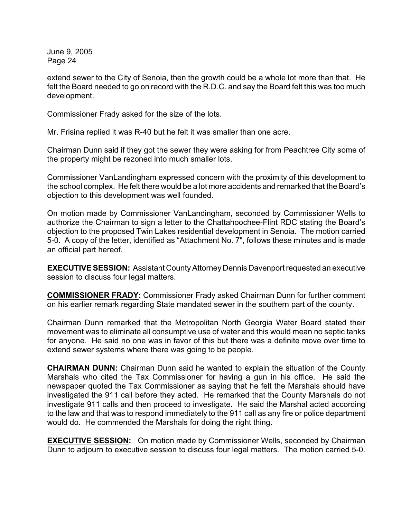extend sewer to the City of Senoia, then the growth could be a whole lot more than that. He felt the Board needed to go on record with the R.D.C. and say the Board felt this was too much development.

Commissioner Frady asked for the size of the lots.

Mr. Frisina replied it was R-40 but he felt it was smaller than one acre.

Chairman Dunn said if they got the sewer they were asking for from Peachtree City some of the property might be rezoned into much smaller lots.

Commissioner VanLandingham expressed concern with the proximity of this development to the school complex. He felt there would be a lot more accidents and remarked that the Board's objection to this development was well founded.

On motion made by Commissioner VanLandingham, seconded by Commissioner Wells to authorize the Chairman to sign a letter to the Chattahoochee-Flint RDC stating the Board's objection to the proposed Twin Lakes residential development in Senoia. The motion carried 5-0. A copy of the letter, identified as "Attachment No. 7", follows these minutes and is made an official part hereof.

**EXECUTIVE SESSION:** Assistant County Attorney Dennis Davenport requested an executive session to discuss four legal matters.

**COMMISSIONER FRADY:** Commissioner Frady asked Chairman Dunn for further comment on his earlier remark regarding State mandated sewer in the southern part of the county.

Chairman Dunn remarked that the Metropolitan North Georgia Water Board stated their movement was to eliminate all consumptive use of water and this would mean no septic tanks for anyone. He said no one was in favor of this but there was a definite move over time to extend sewer systems where there was going to be people.

**CHAIRMAN DUNN:** Chairman Dunn said he wanted to explain the situation of the County Marshals who cited the Tax Commissioner for having a gun in his office. He said the newspaper quoted the Tax Commissioner as saying that he felt the Marshals should have investigated the 911 call before they acted. He remarked that the County Marshals do not investigate 911 calls and then proceed to investigate. He said the Marshal acted according to the law and that was to respond immediately to the 911 call as any fire or police department would do. He commended the Marshals for doing the right thing.

**EXECUTIVE SESSION:** On motion made by Commissioner Wells, seconded by Chairman Dunn to adjourn to executive session to discuss four legal matters. The motion carried 5-0.